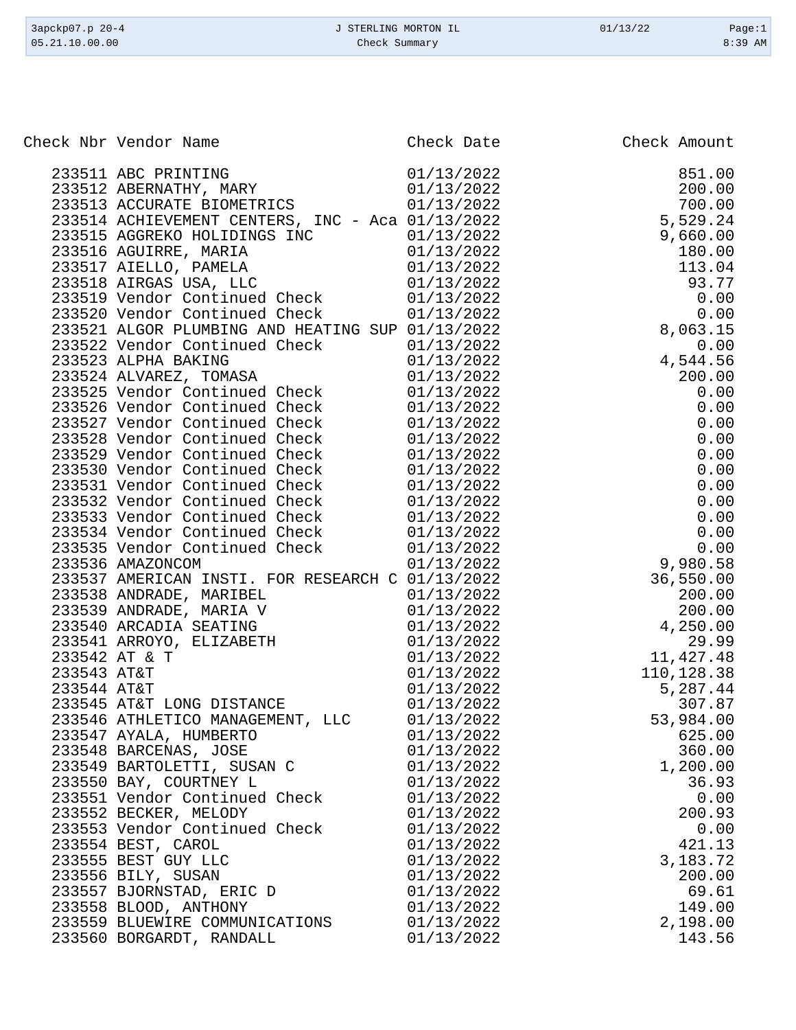| 3apckp07.p 20-4 | J STERLING MORTON IL | 01/13/22 | Page:1    |
|-----------------|----------------------|----------|-----------|
| 05.21.10.00.00  | Check Summary        |          | $8:39$ AM |

| eck Nbr Vendor Name<br>2335112 AREWATHY, MARY (1912/2022)<br>2335112 AREWATHY, MARY (1912/2022)<br>233513 AREWATHY, MARY (1912/2022)<br>233513 ACCURATHY (MARY CRIVERS, INC. - Acs 01/13/2022)<br>233514 ACCURATHY (PARKIAS INC. - Acs<br>01/13/2022<br>233547 AYALA, HUMBERTO<br>625.00<br>01/13/2022<br>360.00<br>233548 BARCENAS, JOSE<br>233549 BARTOLETTI, SUSAN C<br>01/13/2022<br>1,200.00<br>01/13/2022<br>36.93<br>233550 BAY, COURTNEY L<br>233551 Vendor Continued Check<br>01/13/2022<br>0.00<br>200.93<br>233552 BECKER, MELODY<br>01/13/2022<br>233553 Vendor Continued Check<br>01/13/2022<br>0.00<br>01/13/2022<br>421.13<br>233554 BEST, CAROL<br>3,183.72<br>233555 BEST GUY LLC<br>01/13/2022<br>01/13/2022<br>200.00<br>233556 BILY, SUSAN<br>233557 BJORNSTAD, ERIC D<br>01/13/2022<br>69.61<br>01/13/2022<br>149.00<br>233558 BLOOD, ANTHONY<br>233559 BLUEWIRE COMMUNICATIONS<br>01/13/2022<br>2,198.00<br>01/13/2022<br>143.56<br>233560 BORGARDT, RANDALL | Check Nbr Vendor Name | Check Date | Check Amount |
|------------------------------------------------------------------------------------------------------------------------------------------------------------------------------------------------------------------------------------------------------------------------------------------------------------------------------------------------------------------------------------------------------------------------------------------------------------------------------------------------------------------------------------------------------------------------------------------------------------------------------------------------------------------------------------------------------------------------------------------------------------------------------------------------------------------------------------------------------------------------------------------------------------------------------------------------------------------------------------|-----------------------|------------|--------------|
|                                                                                                                                                                                                                                                                                                                                                                                                                                                                                                                                                                                                                                                                                                                                                                                                                                                                                                                                                                                    |                       |            |              |
|                                                                                                                                                                                                                                                                                                                                                                                                                                                                                                                                                                                                                                                                                                                                                                                                                                                                                                                                                                                    |                       |            |              |
|                                                                                                                                                                                                                                                                                                                                                                                                                                                                                                                                                                                                                                                                                                                                                                                                                                                                                                                                                                                    |                       |            |              |
|                                                                                                                                                                                                                                                                                                                                                                                                                                                                                                                                                                                                                                                                                                                                                                                                                                                                                                                                                                                    |                       |            |              |
|                                                                                                                                                                                                                                                                                                                                                                                                                                                                                                                                                                                                                                                                                                                                                                                                                                                                                                                                                                                    |                       |            |              |
|                                                                                                                                                                                                                                                                                                                                                                                                                                                                                                                                                                                                                                                                                                                                                                                                                                                                                                                                                                                    |                       |            |              |
|                                                                                                                                                                                                                                                                                                                                                                                                                                                                                                                                                                                                                                                                                                                                                                                                                                                                                                                                                                                    |                       |            |              |
|                                                                                                                                                                                                                                                                                                                                                                                                                                                                                                                                                                                                                                                                                                                                                                                                                                                                                                                                                                                    |                       |            |              |
|                                                                                                                                                                                                                                                                                                                                                                                                                                                                                                                                                                                                                                                                                                                                                                                                                                                                                                                                                                                    |                       |            |              |
|                                                                                                                                                                                                                                                                                                                                                                                                                                                                                                                                                                                                                                                                                                                                                                                                                                                                                                                                                                                    |                       |            |              |
|                                                                                                                                                                                                                                                                                                                                                                                                                                                                                                                                                                                                                                                                                                                                                                                                                                                                                                                                                                                    |                       |            |              |
|                                                                                                                                                                                                                                                                                                                                                                                                                                                                                                                                                                                                                                                                                                                                                                                                                                                                                                                                                                                    |                       |            |              |
|                                                                                                                                                                                                                                                                                                                                                                                                                                                                                                                                                                                                                                                                                                                                                                                                                                                                                                                                                                                    |                       |            |              |
|                                                                                                                                                                                                                                                                                                                                                                                                                                                                                                                                                                                                                                                                                                                                                                                                                                                                                                                                                                                    |                       |            |              |
|                                                                                                                                                                                                                                                                                                                                                                                                                                                                                                                                                                                                                                                                                                                                                                                                                                                                                                                                                                                    |                       |            |              |
|                                                                                                                                                                                                                                                                                                                                                                                                                                                                                                                                                                                                                                                                                                                                                                                                                                                                                                                                                                                    |                       |            |              |
|                                                                                                                                                                                                                                                                                                                                                                                                                                                                                                                                                                                                                                                                                                                                                                                                                                                                                                                                                                                    |                       |            |              |
|                                                                                                                                                                                                                                                                                                                                                                                                                                                                                                                                                                                                                                                                                                                                                                                                                                                                                                                                                                                    |                       |            |              |
|                                                                                                                                                                                                                                                                                                                                                                                                                                                                                                                                                                                                                                                                                                                                                                                                                                                                                                                                                                                    |                       |            |              |
|                                                                                                                                                                                                                                                                                                                                                                                                                                                                                                                                                                                                                                                                                                                                                                                                                                                                                                                                                                                    |                       |            |              |
|                                                                                                                                                                                                                                                                                                                                                                                                                                                                                                                                                                                                                                                                                                                                                                                                                                                                                                                                                                                    |                       |            |              |
|                                                                                                                                                                                                                                                                                                                                                                                                                                                                                                                                                                                                                                                                                                                                                                                                                                                                                                                                                                                    |                       |            |              |
|                                                                                                                                                                                                                                                                                                                                                                                                                                                                                                                                                                                                                                                                                                                                                                                                                                                                                                                                                                                    |                       |            |              |
|                                                                                                                                                                                                                                                                                                                                                                                                                                                                                                                                                                                                                                                                                                                                                                                                                                                                                                                                                                                    |                       |            |              |
|                                                                                                                                                                                                                                                                                                                                                                                                                                                                                                                                                                                                                                                                                                                                                                                                                                                                                                                                                                                    |                       |            |              |
|                                                                                                                                                                                                                                                                                                                                                                                                                                                                                                                                                                                                                                                                                                                                                                                                                                                                                                                                                                                    |                       |            |              |
|                                                                                                                                                                                                                                                                                                                                                                                                                                                                                                                                                                                                                                                                                                                                                                                                                                                                                                                                                                                    |                       |            |              |
|                                                                                                                                                                                                                                                                                                                                                                                                                                                                                                                                                                                                                                                                                                                                                                                                                                                                                                                                                                                    |                       |            |              |
|                                                                                                                                                                                                                                                                                                                                                                                                                                                                                                                                                                                                                                                                                                                                                                                                                                                                                                                                                                                    |                       |            |              |
|                                                                                                                                                                                                                                                                                                                                                                                                                                                                                                                                                                                                                                                                                                                                                                                                                                                                                                                                                                                    |                       |            |              |
|                                                                                                                                                                                                                                                                                                                                                                                                                                                                                                                                                                                                                                                                                                                                                                                                                                                                                                                                                                                    |                       |            |              |
|                                                                                                                                                                                                                                                                                                                                                                                                                                                                                                                                                                                                                                                                                                                                                                                                                                                                                                                                                                                    |                       |            |              |
|                                                                                                                                                                                                                                                                                                                                                                                                                                                                                                                                                                                                                                                                                                                                                                                                                                                                                                                                                                                    |                       |            |              |
|                                                                                                                                                                                                                                                                                                                                                                                                                                                                                                                                                                                                                                                                                                                                                                                                                                                                                                                                                                                    |                       |            |              |
|                                                                                                                                                                                                                                                                                                                                                                                                                                                                                                                                                                                                                                                                                                                                                                                                                                                                                                                                                                                    |                       |            |              |
|                                                                                                                                                                                                                                                                                                                                                                                                                                                                                                                                                                                                                                                                                                                                                                                                                                                                                                                                                                                    |                       |            |              |
|                                                                                                                                                                                                                                                                                                                                                                                                                                                                                                                                                                                                                                                                                                                                                                                                                                                                                                                                                                                    |                       |            |              |
|                                                                                                                                                                                                                                                                                                                                                                                                                                                                                                                                                                                                                                                                                                                                                                                                                                                                                                                                                                                    |                       |            |              |
|                                                                                                                                                                                                                                                                                                                                                                                                                                                                                                                                                                                                                                                                                                                                                                                                                                                                                                                                                                                    |                       |            |              |
|                                                                                                                                                                                                                                                                                                                                                                                                                                                                                                                                                                                                                                                                                                                                                                                                                                                                                                                                                                                    |                       |            |              |
|                                                                                                                                                                                                                                                                                                                                                                                                                                                                                                                                                                                                                                                                                                                                                                                                                                                                                                                                                                                    |                       |            |              |
|                                                                                                                                                                                                                                                                                                                                                                                                                                                                                                                                                                                                                                                                                                                                                                                                                                                                                                                                                                                    |                       |            |              |
|                                                                                                                                                                                                                                                                                                                                                                                                                                                                                                                                                                                                                                                                                                                                                                                                                                                                                                                                                                                    |                       |            |              |
|                                                                                                                                                                                                                                                                                                                                                                                                                                                                                                                                                                                                                                                                                                                                                                                                                                                                                                                                                                                    |                       |            |              |
|                                                                                                                                                                                                                                                                                                                                                                                                                                                                                                                                                                                                                                                                                                                                                                                                                                                                                                                                                                                    |                       |            |              |
|                                                                                                                                                                                                                                                                                                                                                                                                                                                                                                                                                                                                                                                                                                                                                                                                                                                                                                                                                                                    |                       |            |              |
|                                                                                                                                                                                                                                                                                                                                                                                                                                                                                                                                                                                                                                                                                                                                                                                                                                                                                                                                                                                    |                       |            |              |
|                                                                                                                                                                                                                                                                                                                                                                                                                                                                                                                                                                                                                                                                                                                                                                                                                                                                                                                                                                                    |                       |            |              |
|                                                                                                                                                                                                                                                                                                                                                                                                                                                                                                                                                                                                                                                                                                                                                                                                                                                                                                                                                                                    |                       |            |              |
|                                                                                                                                                                                                                                                                                                                                                                                                                                                                                                                                                                                                                                                                                                                                                                                                                                                                                                                                                                                    |                       |            |              |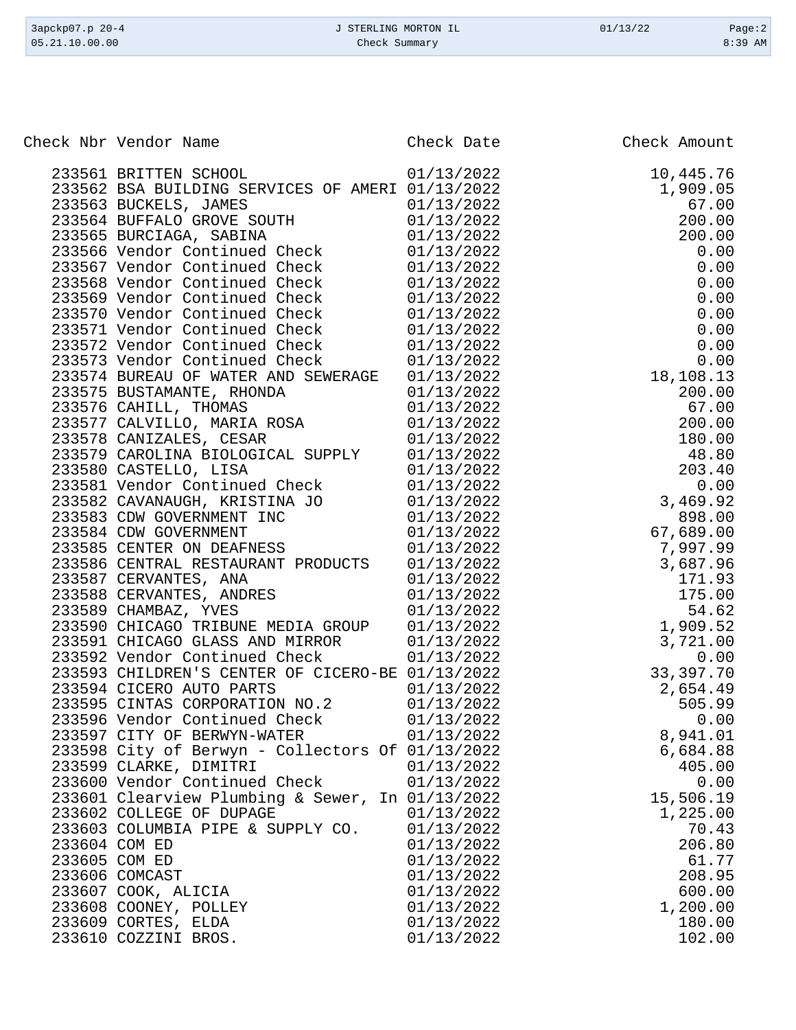| 3apckp07.p 20-4<br>05.21.10.00.00                | J STERLING MORTON IL<br>Check Summary | 01/13/22     | Page:2<br>8:39 AM |
|--------------------------------------------------|---------------------------------------|--------------|-------------------|
|                                                  |                                       |              |                   |
| Check Nbr Vendor Name                            | Check Date                            | Check Amount |                   |
| 233561 BRITTEN SCHOOL                            | 01/13/2022                            |              | 10,445.76         |
| 233562 BSA BUILDING SERVICES OF AMERI 01/13/2022 |                                       |              | 1,909.05          |
| 233563 BUCKELS, JAMES                            | 01/13/2022                            |              | 67.00             |
| 233564 BUFFALO GROVE SOUTH                       | 01/13/2022                            |              | 200.00            |
| 233565 BURCIAGA, SABINA                          | 01/13/2022                            |              | 200.00            |
| 233566 Vendor Continued Check                    | 01/13/2022                            |              | 0.00              |
| 233567 Vendor Continued Check                    | 01/13/2022                            |              | 0.00              |
| 233568 Vendor Continued Check                    | 01/13/2022                            |              | 0.00              |
| 233569 Vendor Continued Check                    | 01/13/2022                            |              | 0.00              |
| 233570 Vendor Continued Check                    | 01/13/2022                            |              | 0.00              |
| 233571 Vendor Continued Check                    | 01/13/2022                            |              | 0.00              |
| 233572 Vendor Continued Check                    | 01/13/2022                            |              | 0.00              |
| 233573 Vendor Continued Check                    | 01/13/2022                            |              | 0.00              |
| 233574 BUREAU OF WATER AND SEWERAGE              | 01/13/2022                            |              | 18,108.13         |
| 233575 BUSTAMANTE, RHONDA                        | 01/13/2022                            |              | 200.00            |
| 233576 CAHILL, THOMAS                            | 01/13/2022                            |              | 67.00             |
| 233577 CALVILLO, MARIA ROSA                      | 01/13/2022                            |              | 200.00            |
| 233578 CANIZALES, CESAR                          | 01/13/2022                            |              | 180.00            |
| 233579 CAROLINA BIOLOGICAL SUPPLY                | 01/13/2022                            |              | 48.80             |
| 233580 CASTELLO, LISA                            | 01/13/2022                            |              | 203.40            |
| 233581 Vendor Continued Check                    | 01/13/2022                            |              | 0.00              |
| 233582 CAVANAUGH, KRISTINA JO                    | 01/13/2022                            |              | 3,469.92          |
| 233583 CDW GOVERNMENT INC                        | 01/13/2022                            |              | 898.00            |
| 233584 CDW GOVERNMENT                            | 01/13/2022                            |              | 67,689.00         |
| 233585 CENTER ON DEAFNESS                        | 01/13/2022                            |              | 7,997.99          |
| 233586 CENTRAL RESTAURANT PRODUCTS               | 01/13/2022                            |              | 3,687.96          |
| 233587 CERVANTES, ANA                            | 01/13/2022                            |              | 171.93            |
| 233588 CERVANTES, ANDRES                         | 01/13/2022                            |              | 175.00            |
| 233589 CHAMBAZ, YVES                             | 01/13/2022                            |              | 54.62             |
| 233590 CHICAGO TRIBUNE MEDIA GROUP               | 01/13/2022                            |              | 1,909.52          |
| 233591 CHICAGO GLASS AND MIRROR                  | 01/13/2022                            |              | 3,721.00          |
| 233592 Vendor Continued Check                    | 01/13/2022                            |              | 0.00              |
| 233593 CHILDREN'S CENTER OF CICERO-BE 01/13/2022 |                                       |              | 33,397.70         |
| 233594 CICERO AUTO PARTS                         | 01/13/2022                            |              | 2,654.49          |
| 233595 CINTAS CORPORATION NO.2                   | 01/13/2022                            |              | 505.99            |
| 233596 Vendor Continued Check                    | 01/13/2022                            |              | 0.00              |

233597 CITY OF BERWYN-WATER 01/13/2022 8,941.01 233598 City of Berwyn - Collectors Of 01/13/2022 6,684.88

 233600 Vendor Continued Check 01/13/2022 0.00 233601 Clearview Plumbing & Sewer, In 01/13/2022 15,506.19 233602 COLLEGE OF DUPAGE 0. 01/13/2022 1,225.00<br>233603 COLUMBIA PIPE & SUPPLY CO. 01/13/2022 70.43 233603 COLUMBIA PIPE & SUPPLY CO.  $01/13/2022$  70.43<br>233604 COM ED 206.80

 233605 COM ED 01/13/2022 61.77 233606 COMCAST 01/13/2022 208.95 233607 COOK, ALICIA 01/13/2022 600.00 233608 COONEY, POLLEY 01/13/2022 1,200.00 233609 CORTES, ELDA  $01/13/2022$  180.00<br>233610 COZZINI BROS. 00 01/13/2022 102.00

233599 CLARKE, DIMITRI 01/13/2022

233604 COM ED 01/13/2022

233610 COZZINI BROS.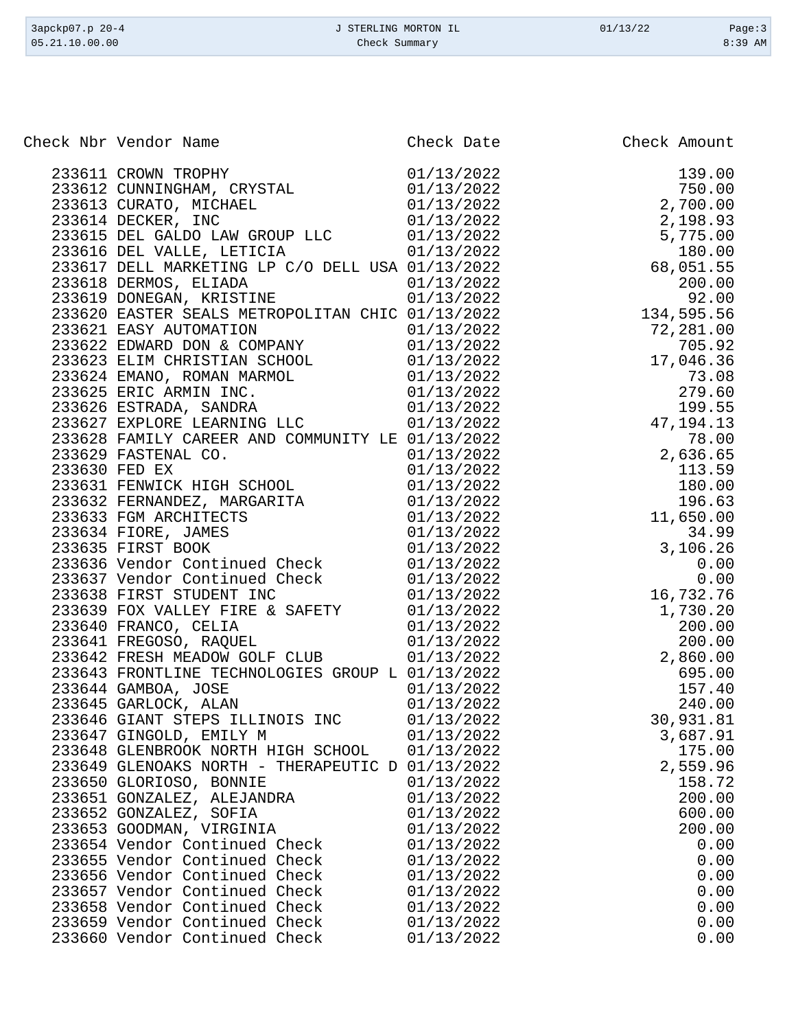| 3apckp07.p 20-4 | J STERLING MORTON IL | 01/13/22 | Page:3    |
|-----------------|----------------------|----------|-----------|
| 05.21.10.00.00  | Check Summary        |          | $8:39$ AM |
|                 |                      |          |           |

| Check Nbr Vendor Name<br>eck Mbr vendor Kane<br>2316112 CUNNINGHAM (EXISTAL 11/13/2022<br>2316112 CUNNINGHAM (EXISTAL 11/13/2022<br>2316112 CUNNINGHAM (EXISTAL 11/13/2022<br>231614 CUNNINGHAM (EXISTAL 11/13/2022<br>231614 DECKER, INVE MC ROUP LLC 11/13/202 | Check Date | Check Amount |
|------------------------------------------------------------------------------------------------------------------------------------------------------------------------------------------------------------------------------------------------------------------|------------|--------------|
|                                                                                                                                                                                                                                                                  |            |              |
|                                                                                                                                                                                                                                                                  |            |              |
|                                                                                                                                                                                                                                                                  |            |              |
|                                                                                                                                                                                                                                                                  |            |              |
|                                                                                                                                                                                                                                                                  |            |              |
|                                                                                                                                                                                                                                                                  |            |              |
|                                                                                                                                                                                                                                                                  |            |              |
|                                                                                                                                                                                                                                                                  |            |              |
|                                                                                                                                                                                                                                                                  |            |              |
|                                                                                                                                                                                                                                                                  |            |              |
|                                                                                                                                                                                                                                                                  |            |              |
|                                                                                                                                                                                                                                                                  |            |              |
|                                                                                                                                                                                                                                                                  |            |              |
|                                                                                                                                                                                                                                                                  |            |              |
|                                                                                                                                                                                                                                                                  |            |              |
|                                                                                                                                                                                                                                                                  |            |              |
|                                                                                                                                                                                                                                                                  |            |              |
|                                                                                                                                                                                                                                                                  |            |              |
|                                                                                                                                                                                                                                                                  |            |              |
|                                                                                                                                                                                                                                                                  |            |              |
|                                                                                                                                                                                                                                                                  |            |              |
|                                                                                                                                                                                                                                                                  |            |              |
|                                                                                                                                                                                                                                                                  |            |              |
|                                                                                                                                                                                                                                                                  |            |              |
|                                                                                                                                                                                                                                                                  |            |              |
|                                                                                                                                                                                                                                                                  |            |              |
|                                                                                                                                                                                                                                                                  |            |              |
|                                                                                                                                                                                                                                                                  |            |              |
|                                                                                                                                                                                                                                                                  |            |              |
|                                                                                                                                                                                                                                                                  |            |              |
|                                                                                                                                                                                                                                                                  |            |              |
|                                                                                                                                                                                                                                                                  |            |              |
|                                                                                                                                                                                                                                                                  |            |              |
|                                                                                                                                                                                                                                                                  |            |              |
|                                                                                                                                                                                                                                                                  |            |              |
|                                                                                                                                                                                                                                                                  |            |              |
|                                                                                                                                                                                                                                                                  |            |              |
|                                                                                                                                                                                                                                                                  |            |              |
| 233647 GINGOLD, EMILY M                                                                                                                                                                                                                                          | 01/13/2022 | 3,687.91     |
| 233648 GLENBROOK NORTH HIGH SCHOOL                                                                                                                                                                                                                               | 01/13/2022 | 175.00       |
| 233649 GLENOAKS NORTH - THERAPEUTIC D 01/13/2022                                                                                                                                                                                                                 |            | 2,559.96     |
| 233650 GLORIOSO, BONNIE                                                                                                                                                                                                                                          | 01/13/2022 | 158.72       |
| 233651 GONZALEZ, ALEJANDRA                                                                                                                                                                                                                                       | 01/13/2022 | 200.00       |
| 233652 GONZALEZ, SOFIA                                                                                                                                                                                                                                           | 01/13/2022 | 600.00       |
| 233653 GOODMAN, VIRGINIA                                                                                                                                                                                                                                         | 01/13/2022 | 200.00       |
| 233654 Vendor Continued Check                                                                                                                                                                                                                                    | 01/13/2022 | 0.00         |
|                                                                                                                                                                                                                                                                  |            |              |
| 233655 Vendor Continued Check<br>233656 Vendor Continued Check                                                                                                                                                                                                   | 01/13/2022 | 0.00         |
|                                                                                                                                                                                                                                                                  | 01/13/2022 | 0.00         |
| 233657 Vendor Continued Check                                                                                                                                                                                                                                    | 01/13/2022 | 0.00         |
| 233658 Vendor Continued Check                                                                                                                                                                                                                                    | 01/13/2022 | 0.00         |
| 233659 Vendor Continued Check                                                                                                                                                                                                                                    | 01/13/2022 | 0.00         |
| 233660 Vendor Continued Check                                                                                                                                                                                                                                    | 01/13/2022 | 0.00         |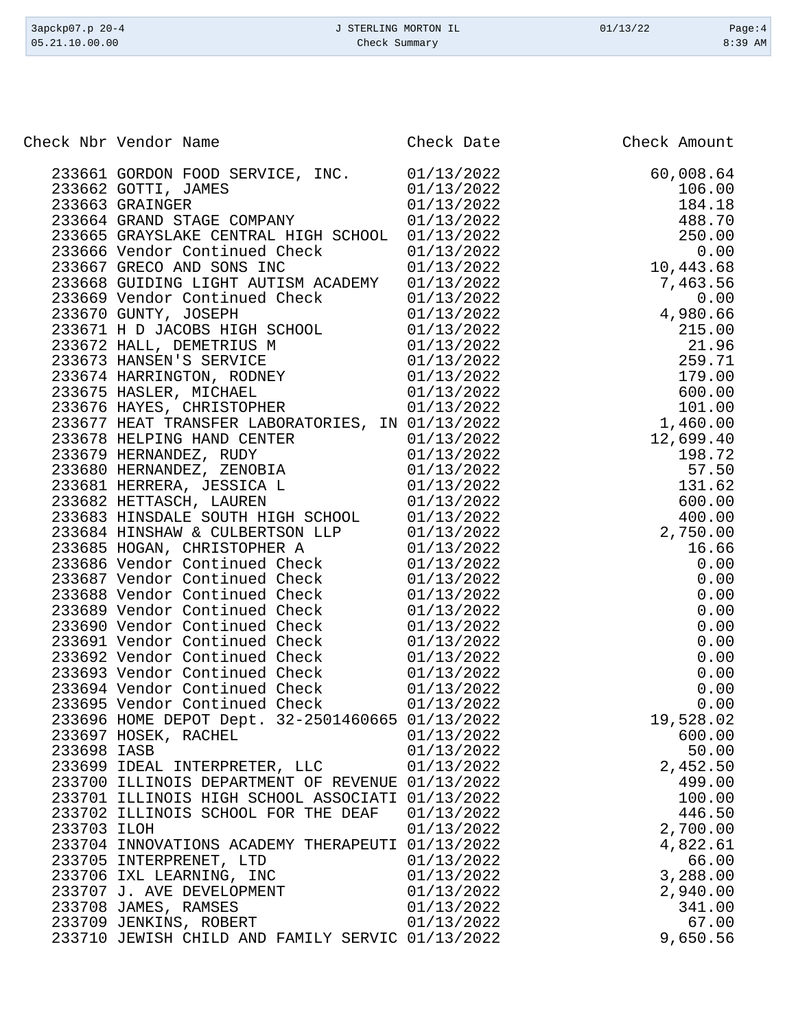|             | Check Nbr Vendor Name                                                                                                                                                                                                                    | Check Date | Check Amount |
|-------------|------------------------------------------------------------------------------------------------------------------------------------------------------------------------------------------------------------------------------------------|------------|--------------|
|             | 233661 GORDON FOOD SERVICE, INC. 01/13/2022                                                                                                                                                                                              |            | 60,008.64    |
|             | 233662 GOTTI, JAMES                                                                                                                                                                                                                      | 01/13/2022 | 106.00       |
|             | 233663 GRAINGER                                                                                                                                                                                                                          | 01/13/2022 | 184.18       |
|             | 233664 GRAND STAGE COMPANY                                                                                                                                                                                                               | 01/13/2022 | 488.70       |
|             | 233665 GRAYSLAKE CENTRAL HIGH SCHOOL 01/13/2022                                                                                                                                                                                          |            | 250.00       |
|             | 233666 Vendor Continued Check                                                                                                                                                                                                            | 01/13/2022 | 0.00         |
|             | 233667 GRECO AND SONS INC                                                                                                                                                                                                                | 01/13/2022 | 10,443.68    |
|             | 233668 GUIDING LIGHT AUTISM ACADEMY                                                                                                                                                                                                      | 01/13/2022 | 7,463.56     |
|             | 233669 Vendor Continued Check 01/13/2022                                                                                                                                                                                                 |            | 0.00         |
|             | 233670 GUNTY, JOSEPH                                                                                                                                                                                                                     | 01/13/2022 | 4,980.66     |
|             |                                                                                                                                                                                                                                          |            | 215.00       |
|             |                                                                                                                                                                                                                                          |            | 21.96        |
|             | 233671 H D JACOBS HIGH SCHOOL 01/13/2022<br>233672 HALL, DEMETRIUS M 01/13/2022<br>233673 HANSEN'S SERVICE 01/13/2022<br>233674 HARRINGTON, RODNEY 01/13/2022<br>233674 HARRINGTON, RODNEY 01/13/2022<br>233675 HASLEP MICHAFI 01/13/202 |            | 259.71       |
|             |                                                                                                                                                                                                                                          |            | 179.00       |
|             | 233675 HASLER, MICHAEL                                                                                                                                                                                                                   | 01/13/2022 | 600.00       |
|             | 233676 HAYES, CHRISTOPHER                                                                                                                                                                                                                | 01/13/2022 | 101.00       |
|             | 233677 HEAT TRANSFER LABORATORIES, IN 01/13/2022                                                                                                                                                                                         |            | 1,460.00     |
|             | 233678 HELPING HAND CENTER                                                                                                                                                                                                               | 01/13/2022 | 12,699.40    |
|             | 233679 HERNANDEZ, RUDY 01/13/2022<br>233680 HERNANDEZ, ZENOBIA 01/13/2022                                                                                                                                                                |            | 198.72       |
|             |                                                                                                                                                                                                                                          |            | 57.50        |
|             | 233681 HERRERA, JESSICA L                                                                                                                                                                                                                | 01/13/2022 | 131.62       |
|             | 233682 HETTASCH, LAUREN                                                                                                                                                                                                                  | 01/13/2022 | 600.00       |
|             | 233683 HINSDALE SOUTH HIGH SCHOOL                                                                                                                                                                                                        | 01/13/2022 | 400.00       |
|             | 233684 HINSHAW & CULBERTSON LLP                                                                                                                                                                                                          | 01/13/2022 | 2,750.00     |
|             | 233685 HOGAN, CHRISTOPHER A                                                                                                                                                                                                              | 01/13/2022 | 16.66        |
|             | 233686 Vendor Continued Check                                                                                                                                                                                                            | 01/13/2022 | 0.00         |
|             | 233687 Vendor Continued Check                                                                                                                                                                                                            | 01/13/2022 | 0.00         |
|             | 233688 Vendor Continued Check 01/13/2022                                                                                                                                                                                                 |            | 0.00         |
|             | 233689 Vendor Continued Check 01/13/2022                                                                                                                                                                                                 |            | 0.00         |
|             | 233690 Vendor Continued Check                                                                                                                                                                                                            | 01/13/2022 | 0.00         |
|             | 233691 Vendor Continued Check                                                                                                                                                                                                            | 01/13/2022 | 0.00         |
|             | 233692 Vendor Continued Check                                                                                                                                                                                                            | 01/13/2022 | 0.00         |
|             | 233693 Vendor Continued Check                                                                                                                                                                                                            | 01/13/2022 | 0.00         |
|             | 233694 Vendor Continued Check                                                                                                                                                                                                            | 01/13/2022 | 0.00         |
|             | 233695 Vendor Continued Check                                                                                                                                                                                                            | 01/13/2022 | 0.00         |
|             | 233696 HOME DEPOT Dept. 32-2501460665 01/13/2022                                                                                                                                                                                         |            | 19,528.02    |
|             | 233697 HOSEK, RACHEL                                                                                                                                                                                                                     | 01/13/2022 | 600.00       |
| 233698 IASB |                                                                                                                                                                                                                                          | 01/13/2022 | 50.00        |
|             | 233699 IDEAL INTERPRETER, LLC                                                                                                                                                                                                            | 01/13/2022 | 2,452.50     |
|             | 233700 ILLINOIS DEPARTMENT OF REVENUE 01/13/2022                                                                                                                                                                                         |            | 499.00       |
|             | 233701 ILLINOIS HIGH SCHOOL ASSOCIATI 01/13/2022                                                                                                                                                                                         |            | 100.00       |
|             | 233702 ILLINOIS SCHOOL FOR THE DEAF                                                                                                                                                                                                      | 01/13/2022 | 446.50       |
| 233703 ILOH |                                                                                                                                                                                                                                          | 01/13/2022 | 2,700.00     |
|             | 233704 INNOVATIONS ACADEMY THERAPEUTI 01/13/2022                                                                                                                                                                                         |            | 4,822.61     |
|             | 233705 INTERPRENET, LTD                                                                                                                                                                                                                  | 01/13/2022 | 66.00        |
|             | 233706 IXL LEARNING, INC                                                                                                                                                                                                                 | 01/13/2022 | 3,288.00     |
|             | 233707 J. AVE DEVELOPMENT                                                                                                                                                                                                                | 01/13/2022 | 2,940.00     |
|             | 233708 JAMES, RAMSES                                                                                                                                                                                                                     | 01/13/2022 | 341.00       |
|             | 233709 JENKINS, ROBERT                                                                                                                                                                                                                   | 01/13/2022 | 67.00        |
|             | 233710 JEWISH CHILD AND FAMILY SERVIC 01/13/2022                                                                                                                                                                                         |            | 9,650.56     |

3apckp07.p 20-4 <br>
3apckp07.p 20-4 <br>
339 AM <br>
339 AM <br>
339 AM <br>
339 AM <br>
339 AM <br>
339 AM <br>
339 AM <br>
339 AM <br>
339 AM <br>
339 AM <br>
339 AM <br>
339 AM <br>
339 AM <br>
339 AM <br>
339 AM <br>
339 AM <br>
339 AM <br>
339 AM <br>
339 AM <br>
339 AM <br>
339 AM Check Summary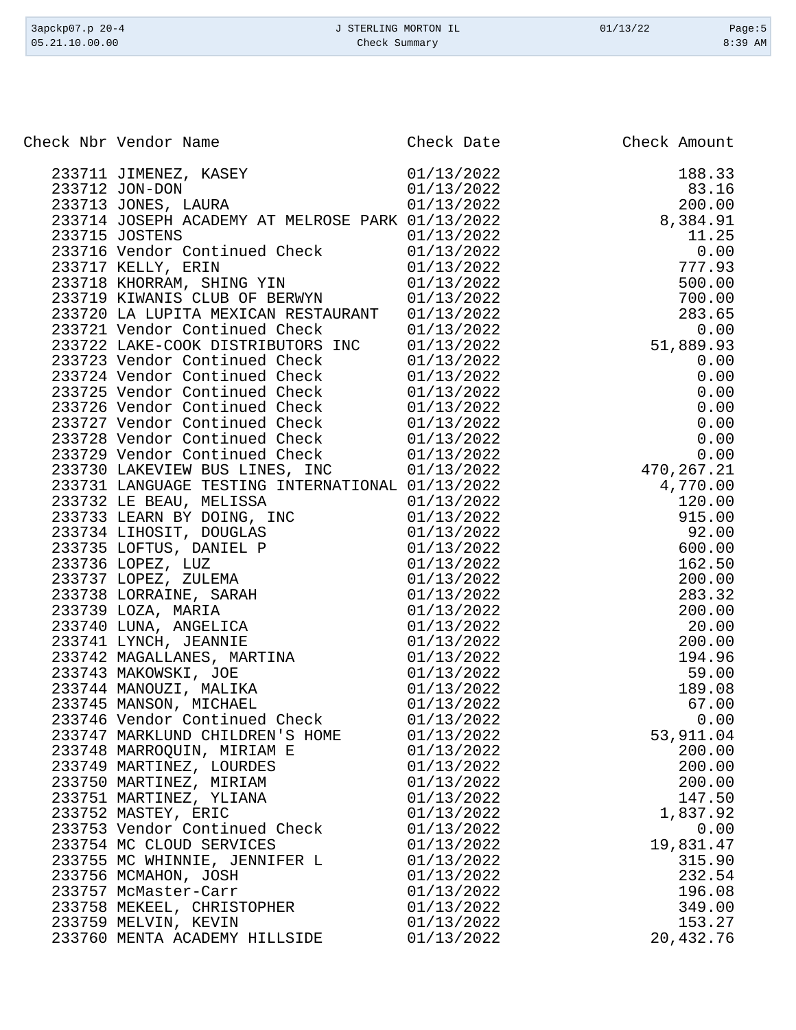| 3apckp07.p 20-4 | J STERLING MORTON IL | 01/13/22 | Page: $5$ |
|-----------------|----------------------|----------|-----------|
| 05.21.10.00.00  | Check Summary        |          | $8:39$ AM |
|                 |                      |          |           |

| eck Nbr Vendor Name (1912)<br>233711 JUMENUSZ, KASEY (1912/2022)<br>233711 JUMENUSZ, KASEY (1/13/2022)<br>2337113 JONE-DOK RABAR (1/13/2022)<br>2337143 JONES LADRA NELENOSE PARK 01/13/2022<br>233715 NOSENH AGADEMY AT NELENOSE PARK<br>Check Nbr Vendor Name |                          |                     |
|-----------------------------------------------------------------------------------------------------------------------------------------------------------------------------------------------------------------------------------------------------------------|--------------------------|---------------------|
|                                                                                                                                                                                                                                                                 |                          |                     |
|                                                                                                                                                                                                                                                                 |                          |                     |
|                                                                                                                                                                                                                                                                 |                          |                     |
|                                                                                                                                                                                                                                                                 |                          |                     |
|                                                                                                                                                                                                                                                                 |                          |                     |
|                                                                                                                                                                                                                                                                 |                          |                     |
|                                                                                                                                                                                                                                                                 |                          |                     |
|                                                                                                                                                                                                                                                                 |                          |                     |
|                                                                                                                                                                                                                                                                 |                          |                     |
|                                                                                                                                                                                                                                                                 |                          |                     |
|                                                                                                                                                                                                                                                                 |                          |                     |
|                                                                                                                                                                                                                                                                 |                          |                     |
|                                                                                                                                                                                                                                                                 |                          |                     |
|                                                                                                                                                                                                                                                                 |                          |                     |
|                                                                                                                                                                                                                                                                 |                          |                     |
|                                                                                                                                                                                                                                                                 |                          |                     |
|                                                                                                                                                                                                                                                                 |                          |                     |
|                                                                                                                                                                                                                                                                 |                          |                     |
|                                                                                                                                                                                                                                                                 |                          |                     |
|                                                                                                                                                                                                                                                                 |                          |                     |
|                                                                                                                                                                                                                                                                 |                          |                     |
|                                                                                                                                                                                                                                                                 |                          |                     |
|                                                                                                                                                                                                                                                                 |                          |                     |
|                                                                                                                                                                                                                                                                 |                          |                     |
|                                                                                                                                                                                                                                                                 |                          |                     |
|                                                                                                                                                                                                                                                                 |                          |                     |
|                                                                                                                                                                                                                                                                 |                          |                     |
|                                                                                                                                                                                                                                                                 |                          |                     |
|                                                                                                                                                                                                                                                                 |                          |                     |
|                                                                                                                                                                                                                                                                 |                          |                     |
|                                                                                                                                                                                                                                                                 |                          |                     |
|                                                                                                                                                                                                                                                                 |                          |                     |
|                                                                                                                                                                                                                                                                 |                          |                     |
|                                                                                                                                                                                                                                                                 |                          |                     |
| 233746 Vendor Continued Check                                                                                                                                                                                                                                   |                          | 0.00                |
| 233747 MARKLUND CHILDREN'S HOME                                                                                                                                                                                                                                 | 01/13/2022               | 53,911.04           |
| 233748 MARROQUIN, MIRIAM E                                                                                                                                                                                                                                      | 01/13/2022               | 200.00              |
| 233749 MARTINEZ, LOURDES                                                                                                                                                                                                                                        | 01/13/2022               | 200.00              |
| 233750 MARTINEZ, MIRIAM                                                                                                                                                                                                                                         | 01/13/2022               | 200.00              |
| 233751 MARTINEZ, YLIANA                                                                                                                                                                                                                                         | 01/13/2022               | 147.50              |
| 233752 MASTEY, ERIC                                                                                                                                                                                                                                             | 01/13/2022               | 1,837.92            |
| 233753 Vendor Continued Check                                                                                                                                                                                                                                   | 01/13/2022               | 0.00                |
| 233754 MC CLOUD SERVICES                                                                                                                                                                                                                                        | 01/13/2022               | 19,831.47           |
| 233755 MC WHINNIE, JENNIFER L                                                                                                                                                                                                                                   | 01/13/2022               | 315.90              |
| 233756 MCMAHON, JOSH                                                                                                                                                                                                                                            | 01/13/2022               | 232.54              |
| 233757 McMaster-Carr                                                                                                                                                                                                                                            | 01/13/2022               | 196.08              |
| 233758 MEKEEL, CHRISTOPHER                                                                                                                                                                                                                                      | 01/13/2022               | 349.00              |
| 233759 MELVIN, KEVIN<br>233760 MENTA ACADEMY HILLSIDE                                                                                                                                                                                                           | 01/13/2022<br>01/13/2022 | 153.27<br>20,432.76 |
|                                                                                                                                                                                                                                                                 |                          |                     |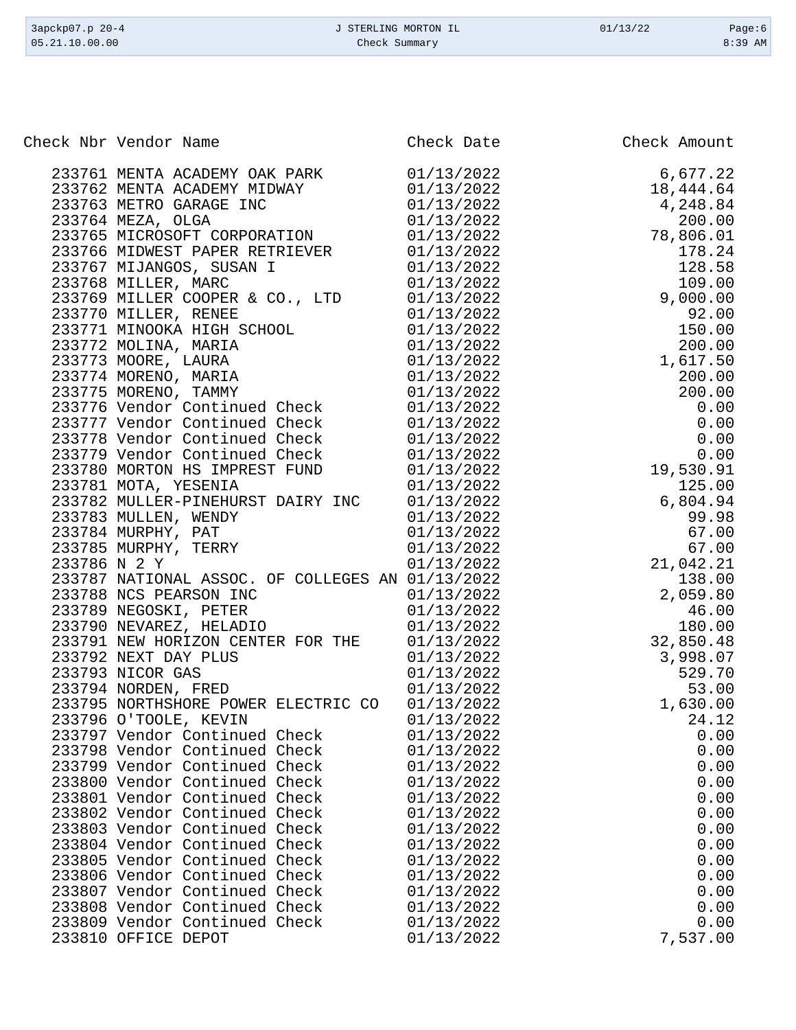| Check Nbr Vendor Name<br>Check Date<br>Check Amount<br>01/13/2022<br>6,677.22<br>233761 MENTA ACADEMY OAK PARK<br>233762 MENTA ACADEMY MIDWAY<br>01/13/2022<br>18,444.64<br>233763 METRO GARAGE INC<br>01/13/2022<br>4,248.84<br>200.00<br>233764 MEZA, OLGA<br>01/13/2022<br>233765 MICROSOFT CORPORATION<br>78,806.01<br>01/13/2022<br>233766 MIDWEST PAPER RETRIEVER<br>01/13/2022<br>178.24<br>128.58<br>233767 MIJANGOS, SUSAN I<br>01/13/2022<br>233768 MILLER, MARC<br>01/13/2022<br>109.00<br>233769 MILLER COOPER & CO., LTD<br>01/13/2022<br>9,000.00<br>233770 MILLER, RENEE<br>01/13/2022<br>92.00<br>150.00<br>233771 MINOOKA HIGH SCHOOL<br>01/13/2022<br>233772 MOLINA, MARIA<br>01/13/2022<br>200.00<br>233773 MOORE, LAURA<br>01/13/2022<br>1,617.50<br>233774 MORENO, MARIA<br>01/13/2022<br>200.00<br>233775 MORENO, TAMMY<br>01/13/2022<br>200.00<br>233776 Vendor Continued Check<br>01/13/2022<br>0.00<br>233777 Vendor Continued Check<br>01/13/2022<br>0.00<br>233778 Vendor Continued Check<br>01/13/2022<br>0.00<br>233779 Vendor Continued Check<br>01/13/2022<br>0.00<br>233780 MORTON HS IMPREST FUND<br>01/13/2022<br>19,530.91<br>233781 MOTA, YESENIA<br>01/13/2022<br>125.00<br>6,804.94<br>233782 MULLER-PINEHURST DAIRY INC<br>01/13/2022<br>233783 MULLEN, WENDY<br>01/13/2022<br>99.98<br>01/13/2022<br>67.00<br>233784 MURPHY, PAT<br>233785 MURPHY, TERRY<br>01/13/2022<br>67.00<br>233786 N 2 Y<br>01/13/2022<br>21,042.21<br>233787 NATIONAL ASSOC. OF COLLEGES AN 01/13/2022<br>138.00<br>233788 NCS PEARSON INC<br>01/13/2022<br>2,059.80<br>233789 NEGOSKI, PETER<br>01/13/2022<br>46.00<br>233790 NEVAREZ, HELADIO<br>01/13/2022<br>180.00<br>32,850.48<br>233791 NEW HORIZON CENTER FOR THE<br>01/13/2022<br>3,998.07<br>233792 NEXT DAY PLUS<br>01/13/2022<br>529.70<br>233793 NICOR GAS<br>01/13/2022<br>53.00<br>233794 NORDEN, FRED<br>01/13/2022<br>233795 NORTHSHORE POWER ELECTRIC CO<br>01/13/2022<br>1,630.00<br>233796 O'TOOLE, KEVIN<br>01/13/2022<br>24.12<br>0.00<br>233797 Vendor Continued Check<br>01/13/2022<br>233798 Vendor Continued Check<br>01/13/2022<br>0.00<br>233799 Vendor Continued Check<br>01/13/2022<br>0.00<br>233800 Vendor Continued Check<br>01/13/2022<br>0.00<br>233801 Vendor Continued Check<br>01/13/2022<br>0.00<br>233802 Vendor Continued Check<br>01/13/2022<br>0.00<br>233803 Vendor Continued Check<br>01/13/2022<br>0.00<br>233804 Vendor Continued Check<br>01/13/2022<br>0.00<br>233805 Vendor Continued Check<br>01/13/2022<br>0.00<br>233806 Vendor Continued Check<br>01/13/2022<br>0.00<br>233807 Vendor Continued Check<br>01/13/2022<br>0.00<br>233808 Vendor Continued Check<br>01/13/2022<br>0.00<br>0.00<br>233809 Vendor Continued Check<br>01/13/2022<br>7,537.00<br>233810 OFFICE DEPOT<br>01/13/2022 | 3apckp07.p 20-4<br>05.21.10.00.00 | J STERLING MORTON IL<br>Check Summary | 01/13/22 | Page: $6$<br>8:39 AM |
|------------------------------------------------------------------------------------------------------------------------------------------------------------------------------------------------------------------------------------------------------------------------------------------------------------------------------------------------------------------------------------------------------------------------------------------------------------------------------------------------------------------------------------------------------------------------------------------------------------------------------------------------------------------------------------------------------------------------------------------------------------------------------------------------------------------------------------------------------------------------------------------------------------------------------------------------------------------------------------------------------------------------------------------------------------------------------------------------------------------------------------------------------------------------------------------------------------------------------------------------------------------------------------------------------------------------------------------------------------------------------------------------------------------------------------------------------------------------------------------------------------------------------------------------------------------------------------------------------------------------------------------------------------------------------------------------------------------------------------------------------------------------------------------------------------------------------------------------------------------------------------------------------------------------------------------------------------------------------------------------------------------------------------------------------------------------------------------------------------------------------------------------------------------------------------------------------------------------------------------------------------------------------------------------------------------------------------------------------------------------------------------------------------------------------------------------------------------------------------------------------------------------------------------------------------------------------------------------------------------------------------------------------------------------------------------------------------------------------------------------------------------------------------------------------------------|-----------------------------------|---------------------------------------|----------|----------------------|
|                                                                                                                                                                                                                                                                                                                                                                                                                                                                                                                                                                                                                                                                                                                                                                                                                                                                                                                                                                                                                                                                                                                                                                                                                                                                                                                                                                                                                                                                                                                                                                                                                                                                                                                                                                                                                                                                                                                                                                                                                                                                                                                                                                                                                                                                                                                                                                                                                                                                                                                                                                                                                                                                                                                                                                                                                  |                                   |                                       |          |                      |
|                                                                                                                                                                                                                                                                                                                                                                                                                                                                                                                                                                                                                                                                                                                                                                                                                                                                                                                                                                                                                                                                                                                                                                                                                                                                                                                                                                                                                                                                                                                                                                                                                                                                                                                                                                                                                                                                                                                                                                                                                                                                                                                                                                                                                                                                                                                                                                                                                                                                                                                                                                                                                                                                                                                                                                                                                  |                                   |                                       |          |                      |
|                                                                                                                                                                                                                                                                                                                                                                                                                                                                                                                                                                                                                                                                                                                                                                                                                                                                                                                                                                                                                                                                                                                                                                                                                                                                                                                                                                                                                                                                                                                                                                                                                                                                                                                                                                                                                                                                                                                                                                                                                                                                                                                                                                                                                                                                                                                                                                                                                                                                                                                                                                                                                                                                                                                                                                                                                  |                                   |                                       |          |                      |
|                                                                                                                                                                                                                                                                                                                                                                                                                                                                                                                                                                                                                                                                                                                                                                                                                                                                                                                                                                                                                                                                                                                                                                                                                                                                                                                                                                                                                                                                                                                                                                                                                                                                                                                                                                                                                                                                                                                                                                                                                                                                                                                                                                                                                                                                                                                                                                                                                                                                                                                                                                                                                                                                                                                                                                                                                  |                                   |                                       |          |                      |
|                                                                                                                                                                                                                                                                                                                                                                                                                                                                                                                                                                                                                                                                                                                                                                                                                                                                                                                                                                                                                                                                                                                                                                                                                                                                                                                                                                                                                                                                                                                                                                                                                                                                                                                                                                                                                                                                                                                                                                                                                                                                                                                                                                                                                                                                                                                                                                                                                                                                                                                                                                                                                                                                                                                                                                                                                  |                                   |                                       |          |                      |
|                                                                                                                                                                                                                                                                                                                                                                                                                                                                                                                                                                                                                                                                                                                                                                                                                                                                                                                                                                                                                                                                                                                                                                                                                                                                                                                                                                                                                                                                                                                                                                                                                                                                                                                                                                                                                                                                                                                                                                                                                                                                                                                                                                                                                                                                                                                                                                                                                                                                                                                                                                                                                                                                                                                                                                                                                  |                                   |                                       |          |                      |
|                                                                                                                                                                                                                                                                                                                                                                                                                                                                                                                                                                                                                                                                                                                                                                                                                                                                                                                                                                                                                                                                                                                                                                                                                                                                                                                                                                                                                                                                                                                                                                                                                                                                                                                                                                                                                                                                                                                                                                                                                                                                                                                                                                                                                                                                                                                                                                                                                                                                                                                                                                                                                                                                                                                                                                                                                  |                                   |                                       |          |                      |
|                                                                                                                                                                                                                                                                                                                                                                                                                                                                                                                                                                                                                                                                                                                                                                                                                                                                                                                                                                                                                                                                                                                                                                                                                                                                                                                                                                                                                                                                                                                                                                                                                                                                                                                                                                                                                                                                                                                                                                                                                                                                                                                                                                                                                                                                                                                                                                                                                                                                                                                                                                                                                                                                                                                                                                                                                  |                                   |                                       |          |                      |
|                                                                                                                                                                                                                                                                                                                                                                                                                                                                                                                                                                                                                                                                                                                                                                                                                                                                                                                                                                                                                                                                                                                                                                                                                                                                                                                                                                                                                                                                                                                                                                                                                                                                                                                                                                                                                                                                                                                                                                                                                                                                                                                                                                                                                                                                                                                                                                                                                                                                                                                                                                                                                                                                                                                                                                                                                  |                                   |                                       |          |                      |
|                                                                                                                                                                                                                                                                                                                                                                                                                                                                                                                                                                                                                                                                                                                                                                                                                                                                                                                                                                                                                                                                                                                                                                                                                                                                                                                                                                                                                                                                                                                                                                                                                                                                                                                                                                                                                                                                                                                                                                                                                                                                                                                                                                                                                                                                                                                                                                                                                                                                                                                                                                                                                                                                                                                                                                                                                  |                                   |                                       |          |                      |
|                                                                                                                                                                                                                                                                                                                                                                                                                                                                                                                                                                                                                                                                                                                                                                                                                                                                                                                                                                                                                                                                                                                                                                                                                                                                                                                                                                                                                                                                                                                                                                                                                                                                                                                                                                                                                                                                                                                                                                                                                                                                                                                                                                                                                                                                                                                                                                                                                                                                                                                                                                                                                                                                                                                                                                                                                  |                                   |                                       |          |                      |
|                                                                                                                                                                                                                                                                                                                                                                                                                                                                                                                                                                                                                                                                                                                                                                                                                                                                                                                                                                                                                                                                                                                                                                                                                                                                                                                                                                                                                                                                                                                                                                                                                                                                                                                                                                                                                                                                                                                                                                                                                                                                                                                                                                                                                                                                                                                                                                                                                                                                                                                                                                                                                                                                                                                                                                                                                  |                                   |                                       |          |                      |
|                                                                                                                                                                                                                                                                                                                                                                                                                                                                                                                                                                                                                                                                                                                                                                                                                                                                                                                                                                                                                                                                                                                                                                                                                                                                                                                                                                                                                                                                                                                                                                                                                                                                                                                                                                                                                                                                                                                                                                                                                                                                                                                                                                                                                                                                                                                                                                                                                                                                                                                                                                                                                                                                                                                                                                                                                  |                                   |                                       |          |                      |
|                                                                                                                                                                                                                                                                                                                                                                                                                                                                                                                                                                                                                                                                                                                                                                                                                                                                                                                                                                                                                                                                                                                                                                                                                                                                                                                                                                                                                                                                                                                                                                                                                                                                                                                                                                                                                                                                                                                                                                                                                                                                                                                                                                                                                                                                                                                                                                                                                                                                                                                                                                                                                                                                                                                                                                                                                  |                                   |                                       |          |                      |
|                                                                                                                                                                                                                                                                                                                                                                                                                                                                                                                                                                                                                                                                                                                                                                                                                                                                                                                                                                                                                                                                                                                                                                                                                                                                                                                                                                                                                                                                                                                                                                                                                                                                                                                                                                                                                                                                                                                                                                                                                                                                                                                                                                                                                                                                                                                                                                                                                                                                                                                                                                                                                                                                                                                                                                                                                  |                                   |                                       |          |                      |
|                                                                                                                                                                                                                                                                                                                                                                                                                                                                                                                                                                                                                                                                                                                                                                                                                                                                                                                                                                                                                                                                                                                                                                                                                                                                                                                                                                                                                                                                                                                                                                                                                                                                                                                                                                                                                                                                                                                                                                                                                                                                                                                                                                                                                                                                                                                                                                                                                                                                                                                                                                                                                                                                                                                                                                                                                  |                                   |                                       |          |                      |
|                                                                                                                                                                                                                                                                                                                                                                                                                                                                                                                                                                                                                                                                                                                                                                                                                                                                                                                                                                                                                                                                                                                                                                                                                                                                                                                                                                                                                                                                                                                                                                                                                                                                                                                                                                                                                                                                                                                                                                                                                                                                                                                                                                                                                                                                                                                                                                                                                                                                                                                                                                                                                                                                                                                                                                                                                  |                                   |                                       |          |                      |
|                                                                                                                                                                                                                                                                                                                                                                                                                                                                                                                                                                                                                                                                                                                                                                                                                                                                                                                                                                                                                                                                                                                                                                                                                                                                                                                                                                                                                                                                                                                                                                                                                                                                                                                                                                                                                                                                                                                                                                                                                                                                                                                                                                                                                                                                                                                                                                                                                                                                                                                                                                                                                                                                                                                                                                                                                  |                                   |                                       |          |                      |
|                                                                                                                                                                                                                                                                                                                                                                                                                                                                                                                                                                                                                                                                                                                                                                                                                                                                                                                                                                                                                                                                                                                                                                                                                                                                                                                                                                                                                                                                                                                                                                                                                                                                                                                                                                                                                                                                                                                                                                                                                                                                                                                                                                                                                                                                                                                                                                                                                                                                                                                                                                                                                                                                                                                                                                                                                  |                                   |                                       |          |                      |
|                                                                                                                                                                                                                                                                                                                                                                                                                                                                                                                                                                                                                                                                                                                                                                                                                                                                                                                                                                                                                                                                                                                                                                                                                                                                                                                                                                                                                                                                                                                                                                                                                                                                                                                                                                                                                                                                                                                                                                                                                                                                                                                                                                                                                                                                                                                                                                                                                                                                                                                                                                                                                                                                                                                                                                                                                  |                                   |                                       |          |                      |
|                                                                                                                                                                                                                                                                                                                                                                                                                                                                                                                                                                                                                                                                                                                                                                                                                                                                                                                                                                                                                                                                                                                                                                                                                                                                                                                                                                                                                                                                                                                                                                                                                                                                                                                                                                                                                                                                                                                                                                                                                                                                                                                                                                                                                                                                                                                                                                                                                                                                                                                                                                                                                                                                                                                                                                                                                  |                                   |                                       |          |                      |
|                                                                                                                                                                                                                                                                                                                                                                                                                                                                                                                                                                                                                                                                                                                                                                                                                                                                                                                                                                                                                                                                                                                                                                                                                                                                                                                                                                                                                                                                                                                                                                                                                                                                                                                                                                                                                                                                                                                                                                                                                                                                                                                                                                                                                                                                                                                                                                                                                                                                                                                                                                                                                                                                                                                                                                                                                  |                                   |                                       |          |                      |
|                                                                                                                                                                                                                                                                                                                                                                                                                                                                                                                                                                                                                                                                                                                                                                                                                                                                                                                                                                                                                                                                                                                                                                                                                                                                                                                                                                                                                                                                                                                                                                                                                                                                                                                                                                                                                                                                                                                                                                                                                                                                                                                                                                                                                                                                                                                                                                                                                                                                                                                                                                                                                                                                                                                                                                                                                  |                                   |                                       |          |                      |
|                                                                                                                                                                                                                                                                                                                                                                                                                                                                                                                                                                                                                                                                                                                                                                                                                                                                                                                                                                                                                                                                                                                                                                                                                                                                                                                                                                                                                                                                                                                                                                                                                                                                                                                                                                                                                                                                                                                                                                                                                                                                                                                                                                                                                                                                                                                                                                                                                                                                                                                                                                                                                                                                                                                                                                                                                  |                                   |                                       |          |                      |
|                                                                                                                                                                                                                                                                                                                                                                                                                                                                                                                                                                                                                                                                                                                                                                                                                                                                                                                                                                                                                                                                                                                                                                                                                                                                                                                                                                                                                                                                                                                                                                                                                                                                                                                                                                                                                                                                                                                                                                                                                                                                                                                                                                                                                                                                                                                                                                                                                                                                                                                                                                                                                                                                                                                                                                                                                  |                                   |                                       |          |                      |
|                                                                                                                                                                                                                                                                                                                                                                                                                                                                                                                                                                                                                                                                                                                                                                                                                                                                                                                                                                                                                                                                                                                                                                                                                                                                                                                                                                                                                                                                                                                                                                                                                                                                                                                                                                                                                                                                                                                                                                                                                                                                                                                                                                                                                                                                                                                                                                                                                                                                                                                                                                                                                                                                                                                                                                                                                  |                                   |                                       |          |                      |
|                                                                                                                                                                                                                                                                                                                                                                                                                                                                                                                                                                                                                                                                                                                                                                                                                                                                                                                                                                                                                                                                                                                                                                                                                                                                                                                                                                                                                                                                                                                                                                                                                                                                                                                                                                                                                                                                                                                                                                                                                                                                                                                                                                                                                                                                                                                                                                                                                                                                                                                                                                                                                                                                                                                                                                                                                  |                                   |                                       |          |                      |
|                                                                                                                                                                                                                                                                                                                                                                                                                                                                                                                                                                                                                                                                                                                                                                                                                                                                                                                                                                                                                                                                                                                                                                                                                                                                                                                                                                                                                                                                                                                                                                                                                                                                                                                                                                                                                                                                                                                                                                                                                                                                                                                                                                                                                                                                                                                                                                                                                                                                                                                                                                                                                                                                                                                                                                                                                  |                                   |                                       |          |                      |
|                                                                                                                                                                                                                                                                                                                                                                                                                                                                                                                                                                                                                                                                                                                                                                                                                                                                                                                                                                                                                                                                                                                                                                                                                                                                                                                                                                                                                                                                                                                                                                                                                                                                                                                                                                                                                                                                                                                                                                                                                                                                                                                                                                                                                                                                                                                                                                                                                                                                                                                                                                                                                                                                                                                                                                                                                  |                                   |                                       |          |                      |
|                                                                                                                                                                                                                                                                                                                                                                                                                                                                                                                                                                                                                                                                                                                                                                                                                                                                                                                                                                                                                                                                                                                                                                                                                                                                                                                                                                                                                                                                                                                                                                                                                                                                                                                                                                                                                                                                                                                                                                                                                                                                                                                                                                                                                                                                                                                                                                                                                                                                                                                                                                                                                                                                                                                                                                                                                  |                                   |                                       |          |                      |
|                                                                                                                                                                                                                                                                                                                                                                                                                                                                                                                                                                                                                                                                                                                                                                                                                                                                                                                                                                                                                                                                                                                                                                                                                                                                                                                                                                                                                                                                                                                                                                                                                                                                                                                                                                                                                                                                                                                                                                                                                                                                                                                                                                                                                                                                                                                                                                                                                                                                                                                                                                                                                                                                                                                                                                                                                  |                                   |                                       |          |                      |
|                                                                                                                                                                                                                                                                                                                                                                                                                                                                                                                                                                                                                                                                                                                                                                                                                                                                                                                                                                                                                                                                                                                                                                                                                                                                                                                                                                                                                                                                                                                                                                                                                                                                                                                                                                                                                                                                                                                                                                                                                                                                                                                                                                                                                                                                                                                                                                                                                                                                                                                                                                                                                                                                                                                                                                                                                  |                                   |                                       |          |                      |
|                                                                                                                                                                                                                                                                                                                                                                                                                                                                                                                                                                                                                                                                                                                                                                                                                                                                                                                                                                                                                                                                                                                                                                                                                                                                                                                                                                                                                                                                                                                                                                                                                                                                                                                                                                                                                                                                                                                                                                                                                                                                                                                                                                                                                                                                                                                                                                                                                                                                                                                                                                                                                                                                                                                                                                                                                  |                                   |                                       |          |                      |
|                                                                                                                                                                                                                                                                                                                                                                                                                                                                                                                                                                                                                                                                                                                                                                                                                                                                                                                                                                                                                                                                                                                                                                                                                                                                                                                                                                                                                                                                                                                                                                                                                                                                                                                                                                                                                                                                                                                                                                                                                                                                                                                                                                                                                                                                                                                                                                                                                                                                                                                                                                                                                                                                                                                                                                                                                  |                                   |                                       |          |                      |
|                                                                                                                                                                                                                                                                                                                                                                                                                                                                                                                                                                                                                                                                                                                                                                                                                                                                                                                                                                                                                                                                                                                                                                                                                                                                                                                                                                                                                                                                                                                                                                                                                                                                                                                                                                                                                                                                                                                                                                                                                                                                                                                                                                                                                                                                                                                                                                                                                                                                                                                                                                                                                                                                                                                                                                                                                  |                                   |                                       |          |                      |
|                                                                                                                                                                                                                                                                                                                                                                                                                                                                                                                                                                                                                                                                                                                                                                                                                                                                                                                                                                                                                                                                                                                                                                                                                                                                                                                                                                                                                                                                                                                                                                                                                                                                                                                                                                                                                                                                                                                                                                                                                                                                                                                                                                                                                                                                                                                                                                                                                                                                                                                                                                                                                                                                                                                                                                                                                  |                                   |                                       |          |                      |
|                                                                                                                                                                                                                                                                                                                                                                                                                                                                                                                                                                                                                                                                                                                                                                                                                                                                                                                                                                                                                                                                                                                                                                                                                                                                                                                                                                                                                                                                                                                                                                                                                                                                                                                                                                                                                                                                                                                                                                                                                                                                                                                                                                                                                                                                                                                                                                                                                                                                                                                                                                                                                                                                                                                                                                                                                  |                                   |                                       |          |                      |
|                                                                                                                                                                                                                                                                                                                                                                                                                                                                                                                                                                                                                                                                                                                                                                                                                                                                                                                                                                                                                                                                                                                                                                                                                                                                                                                                                                                                                                                                                                                                                                                                                                                                                                                                                                                                                                                                                                                                                                                                                                                                                                                                                                                                                                                                                                                                                                                                                                                                                                                                                                                                                                                                                                                                                                                                                  |                                   |                                       |          |                      |
|                                                                                                                                                                                                                                                                                                                                                                                                                                                                                                                                                                                                                                                                                                                                                                                                                                                                                                                                                                                                                                                                                                                                                                                                                                                                                                                                                                                                                                                                                                                                                                                                                                                                                                                                                                                                                                                                                                                                                                                                                                                                                                                                                                                                                                                                                                                                                                                                                                                                                                                                                                                                                                                                                                                                                                                                                  |                                   |                                       |          |                      |
|                                                                                                                                                                                                                                                                                                                                                                                                                                                                                                                                                                                                                                                                                                                                                                                                                                                                                                                                                                                                                                                                                                                                                                                                                                                                                                                                                                                                                                                                                                                                                                                                                                                                                                                                                                                                                                                                                                                                                                                                                                                                                                                                                                                                                                                                                                                                                                                                                                                                                                                                                                                                                                                                                                                                                                                                                  |                                   |                                       |          |                      |
|                                                                                                                                                                                                                                                                                                                                                                                                                                                                                                                                                                                                                                                                                                                                                                                                                                                                                                                                                                                                                                                                                                                                                                                                                                                                                                                                                                                                                                                                                                                                                                                                                                                                                                                                                                                                                                                                                                                                                                                                                                                                                                                                                                                                                                                                                                                                                                                                                                                                                                                                                                                                                                                                                                                                                                                                                  |                                   |                                       |          |                      |
|                                                                                                                                                                                                                                                                                                                                                                                                                                                                                                                                                                                                                                                                                                                                                                                                                                                                                                                                                                                                                                                                                                                                                                                                                                                                                                                                                                                                                                                                                                                                                                                                                                                                                                                                                                                                                                                                                                                                                                                                                                                                                                                                                                                                                                                                                                                                                                                                                                                                                                                                                                                                                                                                                                                                                                                                                  |                                   |                                       |          |                      |
|                                                                                                                                                                                                                                                                                                                                                                                                                                                                                                                                                                                                                                                                                                                                                                                                                                                                                                                                                                                                                                                                                                                                                                                                                                                                                                                                                                                                                                                                                                                                                                                                                                                                                                                                                                                                                                                                                                                                                                                                                                                                                                                                                                                                                                                                                                                                                                                                                                                                                                                                                                                                                                                                                                                                                                                                                  |                                   |                                       |          |                      |
|                                                                                                                                                                                                                                                                                                                                                                                                                                                                                                                                                                                                                                                                                                                                                                                                                                                                                                                                                                                                                                                                                                                                                                                                                                                                                                                                                                                                                                                                                                                                                                                                                                                                                                                                                                                                                                                                                                                                                                                                                                                                                                                                                                                                                                                                                                                                                                                                                                                                                                                                                                                                                                                                                                                                                                                                                  |                                   |                                       |          |                      |
|                                                                                                                                                                                                                                                                                                                                                                                                                                                                                                                                                                                                                                                                                                                                                                                                                                                                                                                                                                                                                                                                                                                                                                                                                                                                                                                                                                                                                                                                                                                                                                                                                                                                                                                                                                                                                                                                                                                                                                                                                                                                                                                                                                                                                                                                                                                                                                                                                                                                                                                                                                                                                                                                                                                                                                                                                  |                                   |                                       |          |                      |
|                                                                                                                                                                                                                                                                                                                                                                                                                                                                                                                                                                                                                                                                                                                                                                                                                                                                                                                                                                                                                                                                                                                                                                                                                                                                                                                                                                                                                                                                                                                                                                                                                                                                                                                                                                                                                                                                                                                                                                                                                                                                                                                                                                                                                                                                                                                                                                                                                                                                                                                                                                                                                                                                                                                                                                                                                  |                                   |                                       |          |                      |
|                                                                                                                                                                                                                                                                                                                                                                                                                                                                                                                                                                                                                                                                                                                                                                                                                                                                                                                                                                                                                                                                                                                                                                                                                                                                                                                                                                                                                                                                                                                                                                                                                                                                                                                                                                                                                                                                                                                                                                                                                                                                                                                                                                                                                                                                                                                                                                                                                                                                                                                                                                                                                                                                                                                                                                                                                  |                                   |                                       |          |                      |
|                                                                                                                                                                                                                                                                                                                                                                                                                                                                                                                                                                                                                                                                                                                                                                                                                                                                                                                                                                                                                                                                                                                                                                                                                                                                                                                                                                                                                                                                                                                                                                                                                                                                                                                                                                                                                                                                                                                                                                                                                                                                                                                                                                                                                                                                                                                                                                                                                                                                                                                                                                                                                                                                                                                                                                                                                  |                                   |                                       |          |                      |
|                                                                                                                                                                                                                                                                                                                                                                                                                                                                                                                                                                                                                                                                                                                                                                                                                                                                                                                                                                                                                                                                                                                                                                                                                                                                                                                                                                                                                                                                                                                                                                                                                                                                                                                                                                                                                                                                                                                                                                                                                                                                                                                                                                                                                                                                                                                                                                                                                                                                                                                                                                                                                                                                                                                                                                                                                  |                                   |                                       |          |                      |
|                                                                                                                                                                                                                                                                                                                                                                                                                                                                                                                                                                                                                                                                                                                                                                                                                                                                                                                                                                                                                                                                                                                                                                                                                                                                                                                                                                                                                                                                                                                                                                                                                                                                                                                                                                                                                                                                                                                                                                                                                                                                                                                                                                                                                                                                                                                                                                                                                                                                                                                                                                                                                                                                                                                                                                                                                  |                                   |                                       |          |                      |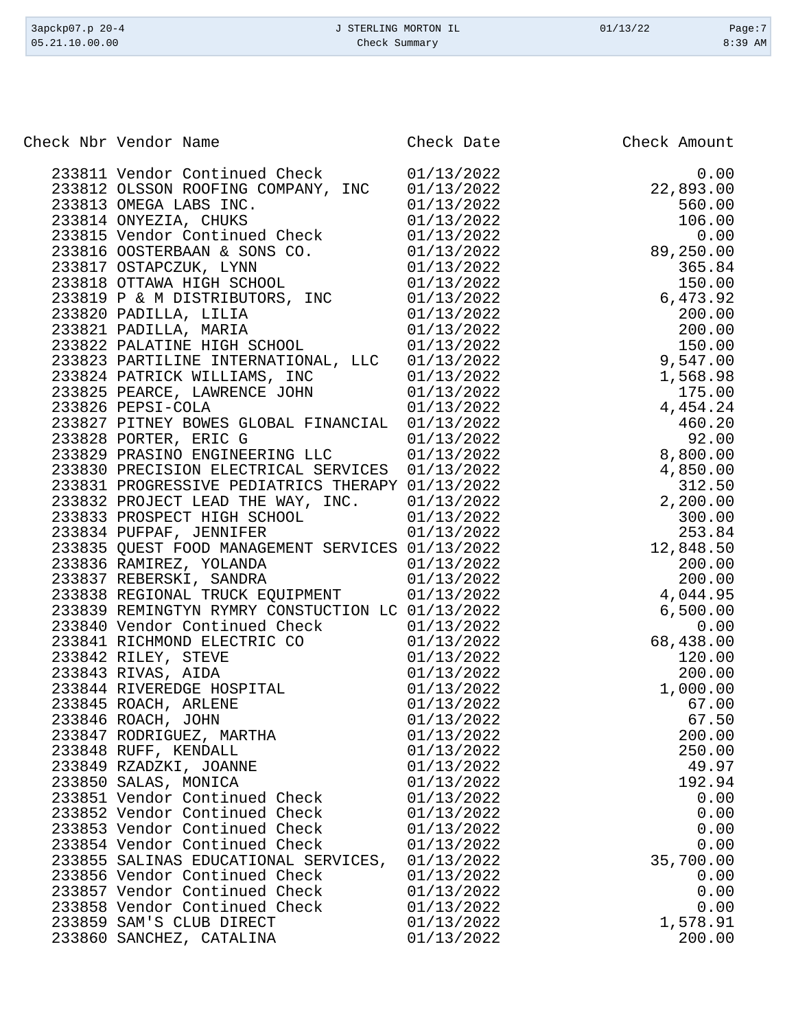| Check Nbr Vendor Name                                     | Check Date               | Check Amount                                                 |
|-----------------------------------------------------------|--------------------------|--------------------------------------------------------------|
| 233811 Vendor Continued Check                             | 01/13/2022               | 0.00                                                         |
| 233812 OLSSON ROOFING COMPANY, INC                        | 01/13/2022               | $22,893.00$<br>$560.00$<br>$106.00$<br>$0.00$<br>$89,250.00$ |
| 233813 OMEGA LABS INC.                                    | 01/13/2022               |                                                              |
| 233814 ONYEZIA, CHUKS                                     | 01/13/2022               |                                                              |
| 233815 Vendor Continued Check                             | 01/13/2022               |                                                              |
| 233816 OOSTERBAAN & SONS CO.                              | 01/13/2022               |                                                              |
| 233817 OSTAPCZUK, LYNN                                    | 01/13/2022               | 365.84                                                       |
| 233818 OTTAWA HIGH SCHOOL                                 | 01/13/2022               | 150.00                                                       |
| 233819 P & M DISTRIBUTORS, INC                            | 01/13/2022               | 6,473.92                                                     |
| 233820 PADILLA, LILIA                                     | 01/13/2022               | 200.00                                                       |
| 233821 PADILLA, MARIA                                     | 01/13/2022               | 200.00                                                       |
| 233822 PALATINE HIGH SCHOOL                               | 01/13/2022               | 150.00                                                       |
| 233823 PARTILINE INTERNATIONAL, LLC 01/13/2022            |                          | 9,547.00                                                     |
| 233824 PATRICK WILLIAMS, INC 01/13/2022                   |                          | 1,568.98                                                     |
| 233825 PEARCE, LAWRENCE JOHN                              | 01/13/2022               | 175.00                                                       |
| 233826 PEPSI-COLA                                         | 01/13/2022               | 4,454.24                                                     |
| 233827 PITNEY BOWES GLOBAL FINANCIAL 01/13/2022           |                          | 460.20                                                       |
| 233828 PORTER, ERIC G<br>233829 PRASINO ENGINEERING LLC   | 01/13/2022<br>01/13/2022 | 92.00<br>8,800.00                                            |
| 233830 PRECISION ELECTRICAL SERVICES                      | 01/13/2022               | 4,850.00                                                     |
| 233831 PROGRESSIVE PEDIATRICS THERAPY 01/13/2022          |                          | 312.50                                                       |
| 233832 PROJECT LEAD THE WAY, INC.                         | 01/13/2022               | 2,200.00                                                     |
| 233833 PROSPECT HIGH SCHOOL                               | 01/13/2022               | 300.00                                                       |
| 233834 PUFPAF, JENNIFER                                   | 01/13/2022               | 253.84                                                       |
| 233835 QUEST FOOD MANAGEMENT SERVICES 01/13/2022          |                          | 12,848.50                                                    |
| 233836 RAMIREZ, YOLANDA                                   | 01/13/2022               | 200.00                                                       |
| 233837 REBERSKI, SANDRA                                   | 01/13/2022               | 200.00                                                       |
| 233838 REGIONAL TRUCK EQUIPMENT 01/13/2022                |                          | 4,044.95                                                     |
| 233839 REMINGTYN RYMRY CONSTUCTION LC 01/13/2022          |                          | 6,500.00                                                     |
| 233840 Vendor Continued Check                             | 01/13/2022               | 0.00                                                         |
| 233841 RICHMOND ELECTRIC CO                               | 01/13/2022               | 68,438.00                                                    |
| 233842 RILEY, STEVE                                       | 01/13/2022               | 120.00                                                       |
| 233843 RIVAS, AIDA                                        | 01/13/2022               | 200.00                                                       |
| 233844 RIVEREDGE HOSPITAL                                 | 01/13/2022               | 1,000.00                                                     |
| 233845 ROACH, ARLENE                                      | 01/13/2022               | 67.00                                                        |
| 233846 ROACH, JOHN                                        | 01/13/2022               | 67.50                                                        |
| 233847 RODRIGUEZ, MARTHA                                  | 01/13/2022               | 200.00                                                       |
| 233848 RUFF, KENDALL                                      | 01/13/2022               | 250.00                                                       |
| 233849 RZADZKI, JOANNE                                    | 01/13/2022               | 49.97                                                        |
| 233850 SALAS, MONICA                                      | 01/13/2022               | 192.94                                                       |
| 233851 Vendor Continued Check                             | 01/13/2022               | 0.00                                                         |
| 233852 Vendor Continued Check                             | 01/13/2022               | 0.00                                                         |
| 233853 Vendor Continued Check                             | 01/13/2022               | 0.00                                                         |
| 233854 Vendor Continued Check                             | 01/13/2022               | 0.00                                                         |
| 233855 SALINAS EDUCATIONAL SERVICES,                      | 01/13/2022               | 35,700.00                                                    |
| 233856 Vendor Continued Check                             | 01/13/2022               | 0.00                                                         |
| 233857 Vendor Continued Check                             | 01/13/2022               | 0.00                                                         |
| 233858 Vendor Continued Check<br>233859 SAM'S CLUB DIRECT | 01/13/2022<br>01/13/2022 | 0.00<br>1,578.91                                             |
| 233860 SANCHEZ, CATALINA                                  | 01/13/2022               | 200.00                                                       |
|                                                           |                          |                                                              |

3apckp07.p 20-4 <br>
3apckp07.p 20-4 <br>
339 AM <br>
339 AM <br>
339 AM <br>
339 AM <br>
339 AM <br>
339 AM <br>
339 AM <br>
339 AM <br>
339 AM <br>
339 AM <br>
339 AM <br>
339 AM <br>
339 AM <br>
339 AM <br>
339 AM <br>
339 AM <br>
339 AM <br>
339 AM <br>
339 AM <br>
339 AM <br>
339 AM Check Summary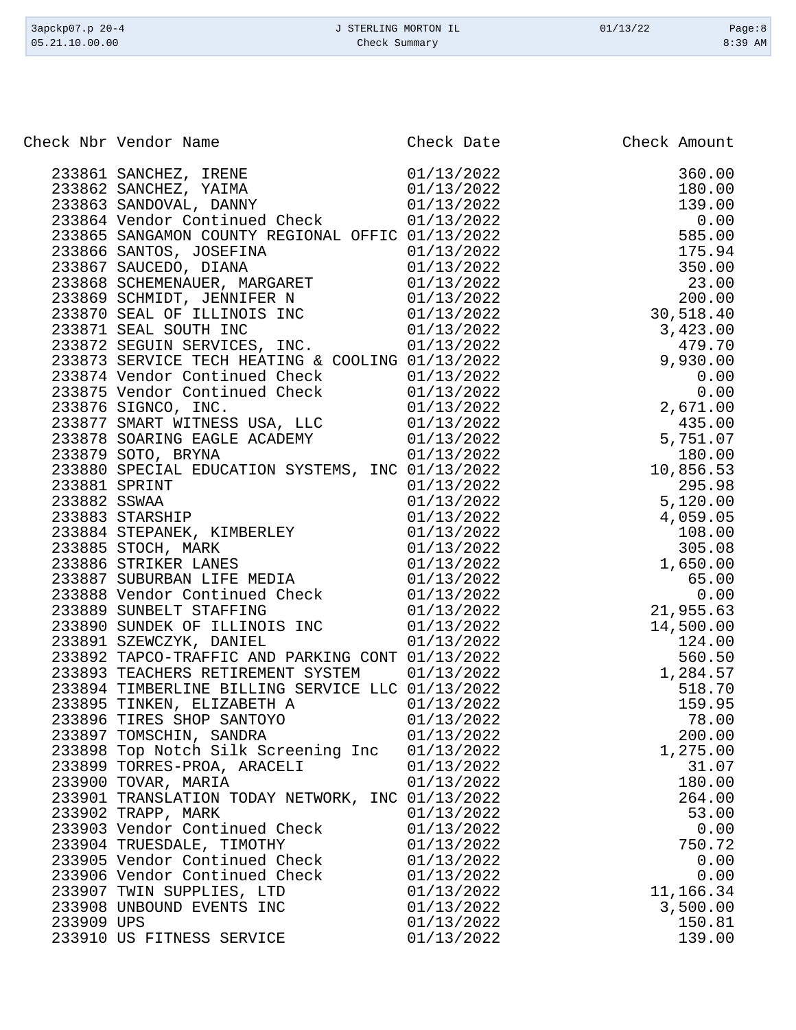| 3apckp07.p 20-4 | J STERLING MORTON IL | 01/13/22 | Page:8    |
|-----------------|----------------------|----------|-----------|
| 05.21.10.00.00  | Check Summary        |          | $8:39$ AM |
|                 |                      |          |           |

|            | Check Nbr Vendor Name                            | Check Date | Check Amount |
|------------|--------------------------------------------------|------------|--------------|
|            |                                                  |            |              |
|            |                                                  |            |              |
|            |                                                  |            |              |
|            |                                                  |            |              |
|            |                                                  |            |              |
|            |                                                  |            |              |
|            |                                                  |            |              |
|            |                                                  |            |              |
|            |                                                  |            |              |
|            |                                                  |            |              |
|            |                                                  |            |              |
|            |                                                  |            |              |
|            |                                                  |            |              |
|            |                                                  |            |              |
|            |                                                  |            |              |
|            |                                                  |            |              |
|            |                                                  |            |              |
|            |                                                  |            |              |
|            |                                                  |            |              |
|            |                                                  |            |              |
|            |                                                  |            |              |
|            |                                                  |            |              |
|            |                                                  |            |              |
|            |                                                  |            |              |
|            |                                                  |            |              |
|            |                                                  |            |              |
|            |                                                  |            |              |
|            |                                                  |            |              |
|            |                                                  |            |              |
|            |                                                  |            |              |
|            |                                                  |            |              |
|            |                                                  |            |              |
|            |                                                  |            |              |
|            |                                                  |            |              |
|            |                                                  |            |              |
|            |                                                  |            |              |
|            |                                                  |            |              |
|            | 233897 TOMSCHIN, SANDRA                          | 01/13/2022 | 200.00       |
|            | 233898 Top Notch Silk Screening Inc              | 01/13/2022 | 1,275.00     |
|            | 233899 TORRES-PROA, ARACELI                      | 01/13/2022 | 31.07        |
|            | 233900 TOVAR, MARIA                              | 01/13/2022 | 180.00       |
|            | 233901 TRANSLATION TODAY NETWORK, INC 01/13/2022 |            | 264.00       |
|            | 233902 TRAPP, MARK                               | 01/13/2022 | 53.00        |
|            | 233903 Vendor Continued Check                    | 01/13/2022 | 0.00         |
|            | 233904 TRUESDALE, TIMOTHY                        | 01/13/2022 | 750.72       |
|            | 233905 Vendor Continued Check                    | 01/13/2022 | 0.00         |
|            | 233906 Vendor Continued Check                    | 01/13/2022 | 0.00         |
|            | 233907 TWIN SUPPLIES, LTD                        | 01/13/2022 | 11,166.34    |
|            | 233908 UNBOUND EVENTS INC                        | 01/13/2022 | 3,500.00     |
| 233909 UPS |                                                  | 01/13/2022 | 150.81       |
|            | 233910 US FITNESS SERVICE                        | 01/13/2022 | 139.00       |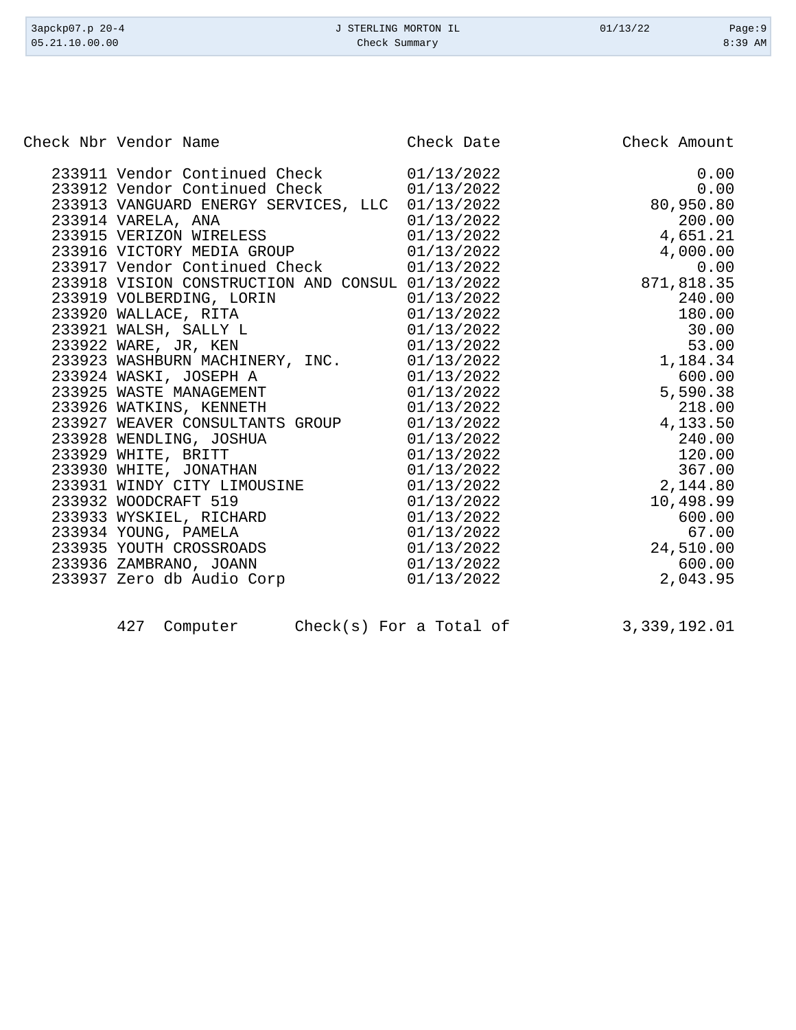| 3apckp07.p 20-4<br>05.21.10.00.00                                                                                                                                                                                                                                                                                                                                                                                                                                                  | J STERLING MORTON IL<br>Check Summary                                                                                                                                              | 01/13/22<br>Page:9<br>8:39 AM                                                                                                                             |
|------------------------------------------------------------------------------------------------------------------------------------------------------------------------------------------------------------------------------------------------------------------------------------------------------------------------------------------------------------------------------------------------------------------------------------------------------------------------------------|------------------------------------------------------------------------------------------------------------------------------------------------------------------------------------|-----------------------------------------------------------------------------------------------------------------------------------------------------------|
|                                                                                                                                                                                                                                                                                                                                                                                                                                                                                    |                                                                                                                                                                                    |                                                                                                                                                           |
| Check Nbr Vendor Name                                                                                                                                                                                                                                                                                                                                                                                                                                                              | Check Date                                                                                                                                                                         | Check Amount                                                                                                                                              |
| 233911 Vendor Continued Check<br>233912 Vendor Continued Check<br>233913 VANGUARD ENERGY SERVICES, LLC 01/13/2022<br>233914 VARELA, ANA<br>233915 VERIZON WIRELESS<br>233916 VICTORY MEDIA GROUP<br>233917 Vendor Continued Check<br>233918 VISION CONSTRUCTION AND CONSUL 01/13/2022<br>233919 VOLBERDING, LORIN<br>233920 WALLACE, RITA<br>233921 WALSH, SALLY L<br>233922 WARE, JR, KEN<br>233923 WASHBURN MACHINERY, INC.<br>233924 WASKI, JOSEPH A<br>233925 WASTE MANAGEMENT | 01/13/2022<br>01/13/2022<br>01/13/2022<br>01/13/2022<br>01/13/2022<br>01/13/2022<br>01/13/2022<br>01/13/2022<br>01/13/2022<br>01/13/2022<br>01/13/2022<br>01/13/2022<br>01/13/2022 | 0.00<br>0.00<br>80,950.80<br>200.00<br>4,651.21<br>4,000.00<br>0.00<br>871,818.35<br>240.00<br>180.00<br>30.00<br>53.00<br>1,184.34<br>600.00<br>5,590.38 |
| 233926 WATKINS, KENNETH                                                                                                                                                                                                                                                                                                                                                                                                                                                            | 01/13/2022                                                                                                                                                                         | 218.00                                                                                                                                                    |
| 233927 WEAVER CONSULTANTS GROUP                                                                                                                                                                                                                                                                                                                                                                                                                                                    | 01/13/2022                                                                                                                                                                         | 4,133.50                                                                                                                                                  |
| 233928 WENDLING, JOSHUA                                                                                                                                                                                                                                                                                                                                                                                                                                                            | 01/13/2022                                                                                                                                                                         | 240.00                                                                                                                                                    |
| 233929 WHITE, BRITT                                                                                                                                                                                                                                                                                                                                                                                                                                                                | 01/13/2022                                                                                                                                                                         | 120.00                                                                                                                                                    |
| 233930 WHITE, JONATHAN                                                                                                                                                                                                                                                                                                                                                                                                                                                             | 01/13/2022                                                                                                                                                                         | 367.00                                                                                                                                                    |
| 233931 WINDY CITY LIMOUSINE                                                                                                                                                                                                                                                                                                                                                                                                                                                        | 01/13/2022                                                                                                                                                                         | 2,144.80                                                                                                                                                  |
| 233932 WOODCRAFT 519                                                                                                                                                                                                                                                                                                                                                                                                                                                               | 01/13/2022                                                                                                                                                                         | 10,498.99                                                                                                                                                 |
| 233933 WYSKIEL, RICHARD                                                                                                                                                                                                                                                                                                                                                                                                                                                            | 01/13/2022                                                                                                                                                                         | 600.00                                                                                                                                                    |
| 233934 YOUNG, PAMELA                                                                                                                                                                                                                                                                                                                                                                                                                                                               | 01/13/2022                                                                                                                                                                         | 67.00                                                                                                                                                     |
| 233935 YOUTH CROSSROADS                                                                                                                                                                                                                                                                                                                                                                                                                                                            | 01/13/2022                                                                                                                                                                         | 24,510.00                                                                                                                                                 |

| 427 Computer |  | $Check(s)$ For a Total of | 3,339,192.01 |
|--------------|--|---------------------------|--------------|

 233936 ZAMBRANO, JOANN 01/13/2022 600.00 233937 Zero db Audio Corp 01/13/2022 2,043.95